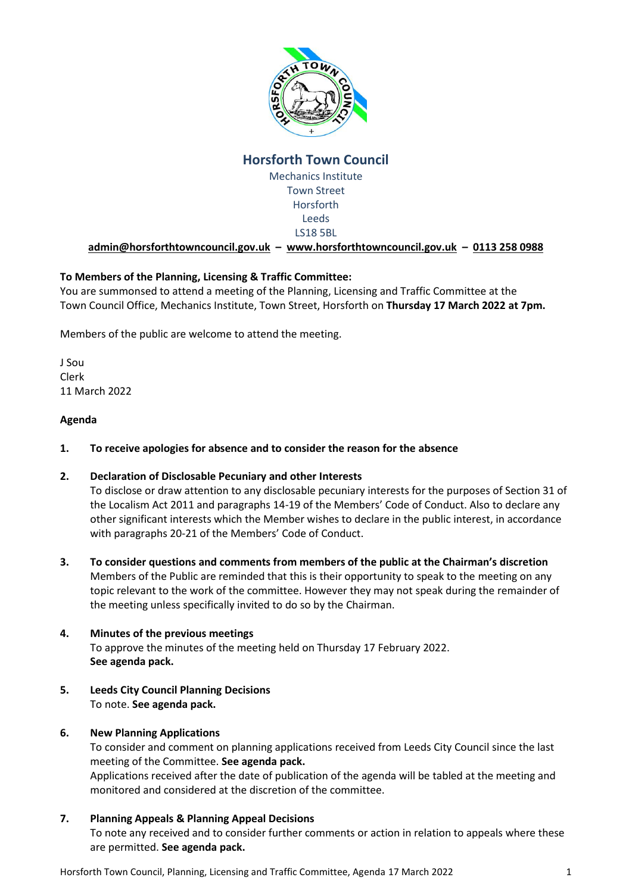

# **Horsforth Town Council**

Mechanics Institute Town Street Horsforth Leeds LS18 5BL

**[admin@horsforthtowncouncil.gov.uk](mailto:admin@horsforthtowncouncil.gov.uk) – [www.horsforthtowncouncil.gov.uk](http://www.horsforthtowncouncil.gov.uk/) – 0113 258 0988**

# **To Members of the Planning, Licensing & Traffic Committee:**

You are summonsed to attend a meeting of the Planning, Licensing and Traffic Committee at the Town Council Office, Mechanics Institute, Town Street, Horsforth on **Thursday 17 March 2022 at 7pm.**

Members of the public are welcome to attend the meeting.

J Sou Clerk 11 March 2022

### **Agenda**

**1. To receive apologies for absence and to consider the reason for the absence**

# **2. Declaration of Disclosable Pecuniary and other Interests**

To disclose or draw attention to any disclosable pecuniary interests for the purposes of Section 31 of the Localism Act 2011 and paragraphs 14-19 of the Members' Code of Conduct. Also to declare any other significant interests which the Member wishes to declare in the public interest, in accordance with paragraphs 20-21 of the Members' Code of Conduct.

**3. To consider questions and comments from members of the public at the Chairman's discretion** Members of the Public are reminded that this is their opportunity to speak to the meeting on any topic relevant to the work of the committee. However they may not speak during the remainder of the meeting unless specifically invited to do so by the Chairman.

# **4. Minutes of the previous meetings** To approve the minutes of the meeting held on Thursday 17 February 2022. **See agenda pack.**

**5. Leeds City Council Planning Decisions** To note. **See agenda pack.**

# **6. New Planning Applications**

To consider and comment on planning applications received from Leeds City Council since the last meeting of the Committee. **See agenda pack.**

Applications received after the date of publication of the agenda will be tabled at the meeting and monitored and considered at the discretion of the committee.

# **7. Planning Appeals & Planning Appeal Decisions**

To note any received and to consider further comments or action in relation to appeals where these are permitted. **See agenda pack.**